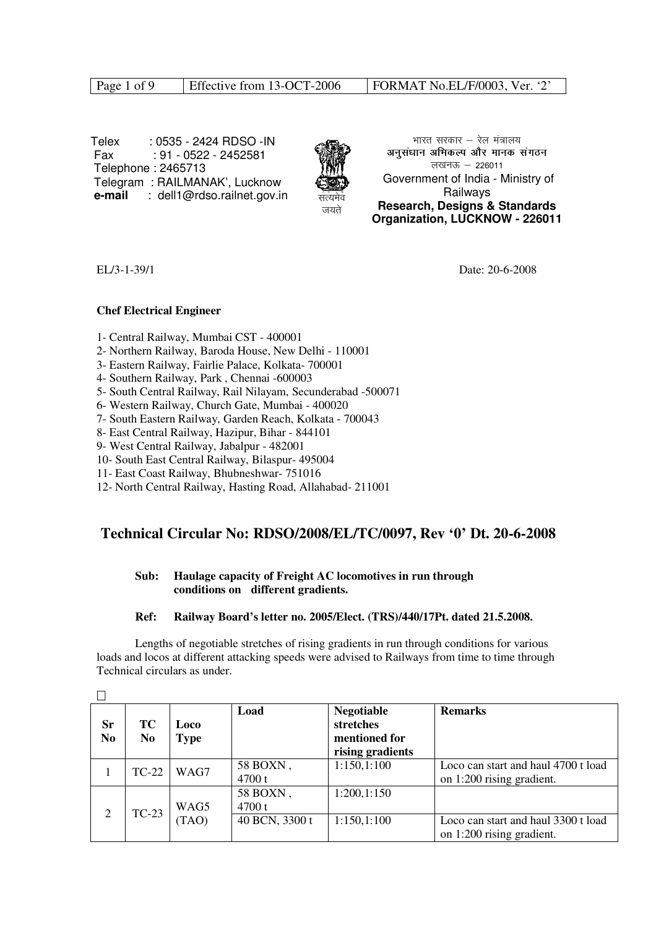Page 1 of 9 Effective from 13-OCT-2006 FORMAT No.EL/F/0003, Ver. '2'

 Telex : 0535 - 2424 RDSO -IN Fax : 91 - 0522 - 2452581 Telephone : 2465713 Telegram : RAILMANAK', Lucknow **e-mail** : dell1@rdso.railnet.gov.in



भारत सरकार  $-$  रेल मंत्रालय अनसंधान अभिकल्प और मानक संगठन लखनऊ  $-226011$  Government of India - Ministry of Railways **Research, Designs & Standards Organization, LUCKNOW - 226011**

EL/3-1-39/1 Date: 20-6-2008

### **Chef Electrical Engineer**

- 1- Central Railway, Mumbai CST 400001
- 2- Northern Railway, Baroda House, New Delhi 110001
- 3- Eastern Railway, Fairlie Palace, Kolkata- 700001
- 4- Southern Railway, Park , Chennai -600003
- 5- South Central Railway, Rail Nilayam, Secunderabad -500071
- 6- Western Railway, Church Gate, Mumbai 400020
- 7- South Eastern Railway, Garden Reach, Kolkata 700043
- 8- East Central Railway, Hazipur, Bihar 844101
- 9- West Central Railway, Jabalpur 482001
- 10- South East Central Railway, Bilaspur- 495004
- 11- East Coast Railway, Bhubneshwar- 751016
- 12- North Central Railway, Hasting Road, Allahabad- 211001

## **Technical Circular No: RDSO/2008/EL/TC/0097, Rev '0' Dt. 20-6-2008**

### **Sub: Haulage capacity of Freight AC locomotives in run through conditions on different gradients.**

### **Ref: Railway Board's letter no. 2005/Elect. (TRS)/440/17Pt. dated 21.5.2008.**

 Lengths of negotiable stretches of rising gradients in run through conditions for various loads and locos at different attacking speeds were advised to Railways from time to time through Technical circulars as under.

| Sr<br>N <sub>0</sub> | ТC<br>N <sub>0</sub> | <b>Loco</b><br>Type | Load               | <b>Negotiable</b><br>stretches<br>mentioned for<br>rising gradients | <b>Remarks</b>                                                   |
|----------------------|----------------------|---------------------|--------------------|---------------------------------------------------------------------|------------------------------------------------------------------|
|                      | $TC-22$              | WAG7                | 58 BOXN,<br>4700 t | 1:150,1:100                                                         | Loco can start and haul 4700 t load<br>on 1:200 rising gradient. |
| 2                    | $TC-23$              | WAG5                | 58 BOXN,<br>4700 t | 1:200,1:150                                                         |                                                                  |
|                      |                      | (TAO)               | 40 BCN, 3300 t     | 1:150,1:100                                                         | Loco can start and haul 3300 t load<br>on 1:200 rising gradient. |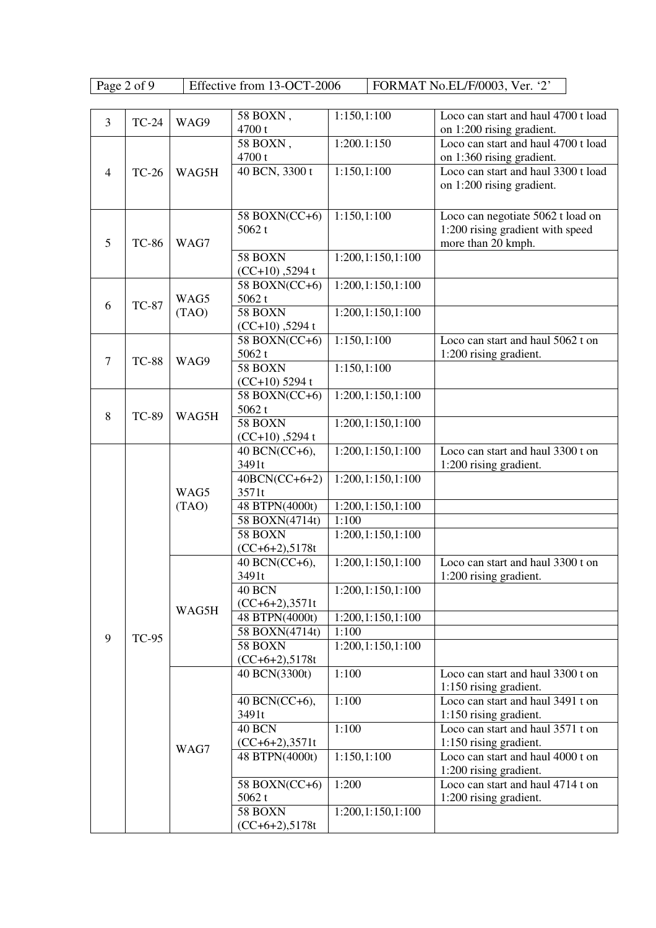Effective from 13-OCT-2006 FORMAT No.EL/F/0003, Ver. '2'

| 3              | <b>TC-24</b> | WAG9  | 58 BOXN,<br>4700t                   | 1:150,1:100       | Loco can start and haul 4700 t load<br>on 1:200 rising gradient.                            |
|----------------|--------------|-------|-------------------------------------|-------------------|---------------------------------------------------------------------------------------------|
|                |              |       | 58 BOXN,<br>4700 t                  | 1:200.1:150       | Loco can start and haul 4700 t load<br>on 1:360 rising gradient.                            |
| $\overline{4}$ | <b>TC-26</b> | WAG5H | 40 BCN, 3300 t                      | 1:150,1:100       | Loco can start and haul 3300 t load<br>on 1:200 rising gradient.                            |
| 5              | <b>TC-86</b> | WAG7  | 58 BOXN(CC+6)<br>5062t              | 1:150,1:100       | Loco can negotiate 5062 t load on<br>1:200 rising gradient with speed<br>more than 20 kmph. |
|                |              |       | 58 BOXN<br>$(CC+10)$ , 5294 t       | 1:200,1:150,1:100 |                                                                                             |
| 6              | <b>TC-87</b> | WAG5  | $\overline{58}$ BOXN(CC+6)<br>5062t | 1:200,1:150,1:100 |                                                                                             |
|                |              | (TAO) | 58 BOXN<br>$(CC+10)$ , 5294 t       | 1:200,1:150,1:100 |                                                                                             |
| 7              | <b>TC-88</b> | WAG9  | 58 BOXN(CC+6)<br>5062t              | 1:150,1:100       | Loco can start and haul 5062 t on<br>1:200 rising gradient.                                 |
|                |              |       | 58 BOXN<br>$(CC+10)$ 5294 t         | 1:150,1:100       |                                                                                             |
| 8              | <b>TC-89</b> | WAG5H | 58 BOXN(CC+6)<br>5062t              | 1:200,1:150,1:100 |                                                                                             |
|                |              |       | 58 BOXN<br>$(CC+10)$ , 5294 t       | 1:200,1:150,1:100 |                                                                                             |
|                |              | WAG5  | 40 BCN(CC+6),<br>3491t              | 1:200,1:150,1:100 | Loco can start and haul 3300 t on<br>1:200 rising gradient.                                 |
|                |              |       | $40BCN(CC+6+2)$<br>3571t            | 1:200,1:150,1:100 |                                                                                             |
|                |              | (TAO) | 48 BTPN(4000t)                      | 1:200,1:150,1:100 |                                                                                             |
|                |              |       | 58 BOXN(4714t)                      | 1:100             |                                                                                             |
|                |              |       | 58 BOXN<br>$(CC+6+2), 5178t$        | 1:200,1:150,1:100 |                                                                                             |
|                |              |       | 40 BCN(CC+6),<br>3491t              | 1:200,1:150,1:100 | Loco can start and haul 3300 t on<br>1:200 rising gradient.                                 |
|                |              |       | 40 BCN<br>$(CC+6+2), 3571t$         | 1:200,1:150,1:100 |                                                                                             |
|                |              | WAG5H | 48 BTPN(4000t)                      | 1:200,1:150,1:100 |                                                                                             |
| 9              | <b>TC-95</b> |       | 58 BOXN(4714t)                      | 1:100             |                                                                                             |
|                |              |       | 58 BOXN                             | 1:200,1:150,1:100 |                                                                                             |
|                |              |       | $(CC+6+2), 5178t$                   |                   |                                                                                             |
|                |              |       | 40 BCN(3300t)                       | 1:100             | Loco can start and haul 3300 t on<br>1:150 rising gradient.                                 |
|                |              |       | 40 BCN(CC+6),<br>3491t              | 1:100             | Loco can start and haul 3491 t on<br>1:150 rising gradient.                                 |
|                |              |       | 40 BCN<br>$(CC+6+2), 3571t$         | 1:100             | Loco can start and haul 3571 t on<br>1:150 rising gradient.                                 |
|                |              | WAG7  | 48 BTPN(4000t)                      | 1:150,1:100       | Loco can start and haul 4000 t on<br>1:200 rising gradient.                                 |
|                |              |       | 58 BOXN(CC+6)<br>5062t              | 1:200             | Loco can start and haul 4714 t on<br>1:200 rising gradient.                                 |
|                |              |       | 58 BOXN<br>$(CC+6+2), 5178t$        | 1:200,1:150,1:100 |                                                                                             |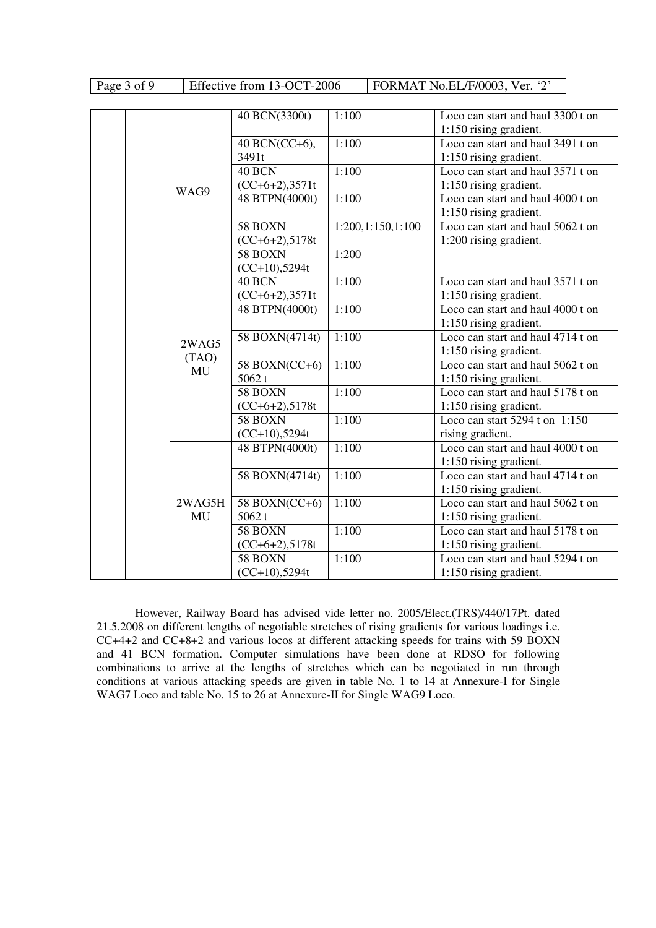| Page 3 of 9 | Effective from 13-OCT-2006 | FORMAT No.EL/F/0003, Ver. $2$ |
|-------------|----------------------------|-------------------------------|
|-------------|----------------------------|-------------------------------|

|  |        | 40 BCN(3300t)     | 1:100             | Loco can start and haul 3300 t on             |
|--|--------|-------------------|-------------------|-----------------------------------------------|
|  |        |                   |                   | 1:150 rising gradient.                        |
|  |        | 40 BCN(CC+6),     | 1:100             | Loco can start and haul 3491 t on             |
|  |        | 3491t             |                   | 1:150 rising gradient.                        |
|  |        | 40 BCN            | 1:100             | Loco can start and haul 3571 t on             |
|  | WAG9   | $(CC+6+2), 3571t$ |                   | 1:150 rising gradient.                        |
|  |        | 48 BTPN(4000t)    | 1:100             | Loco can start and haul 4000 t on             |
|  |        |                   |                   | 1:150 rising gradient.                        |
|  |        | 58 BOXN           | 1:200,1:150,1:100 | Loco can start and haul 5062 t on             |
|  |        | $(CC+6+2), 5178t$ |                   | 1:200 rising gradient.                        |
|  |        | 58 BOXN           | 1:200             |                                               |
|  |        | $(CC+10)$ ,5294t  |                   |                                               |
|  |        | 40 BCN            | 1:100             | Loco can start and haul 3571 t on             |
|  |        | $(CC+6+2), 3571t$ |                   | 1:150 rising gradient.                        |
|  |        | 48 BTPN(4000t)    | 1:100             | Loco can start and haul 4000 t on             |
|  |        |                   |                   | 1:150 rising gradient.                        |
|  | 2WAG5  | 58 BOXN(4714t)    | 1:100             | Loco can start and haul 4714 t on             |
|  |        |                   |                   | 1:150 rising gradient.                        |
|  | (TAO)  | 58 BOXN(CC+6)     | 1:100             | Loco can start and haul $5062$ t on           |
|  | MU     | 5062t             |                   | 1:150 rising gradient.                        |
|  |        | 58 BOXN           | 1:100             | Loco can start and haul 5178 t on             |
|  |        | $(CC+6+2), 5178t$ |                   | 1:150 rising gradient.                        |
|  |        | 58 BOXN           | 1:100             | Loco can start $5294$ t on $1:\overline{150}$ |
|  |        | $(CC+10)$ ,5294t  |                   | rising gradient.                              |
|  |        | 48 BTPN(4000t)    | 1:100             | Loco can start and haul 4000 t on             |
|  |        |                   |                   | 1:150 rising gradient.                        |
|  |        | 58 BOXN(4714t)    | 1:100             | Loco can start and haul 4714 t on             |
|  |        |                   |                   | 1:150 rising gradient.                        |
|  | 2WAG5H | 58 BOXN(CC+6)     | 1:100             | Loco can start and haul 5062 t on             |
|  | MU     | 5062t             |                   | 1:150 rising gradient.                        |
|  |        | 58 BOXN           | 1:100             | Loco can start and haul 5178 t on             |
|  |        | $(CC+6+2), 5178t$ |                   | 1:150 rising gradient.                        |
|  |        | 58 BOXN           | 1:100             | Loco can start and haul 5294 t on             |
|  |        | $(CC+10)$ ,5294t  |                   | 1:150 rising gradient.                        |

However, Railway Board has advised vide letter no. 2005/Elect.(TRS)/440/17Pt. dated 21.5.2008 on different lengths of negotiable stretches of rising gradients for various loadings i.e. CC+4+2 and CC+8+2 and various locos at different attacking speeds for trains with 59 BOXN and 41 BCN formation. Computer simulations have been done at RDSO for following combinations to arrive at the lengths of stretches which can be negotiated in run through conditions at various attacking speeds are given in table No. 1 to 14 at Annexure-I for Single WAG7 Loco and table No. 15 to 26 at Annexure-II for Single WAG9 Loco.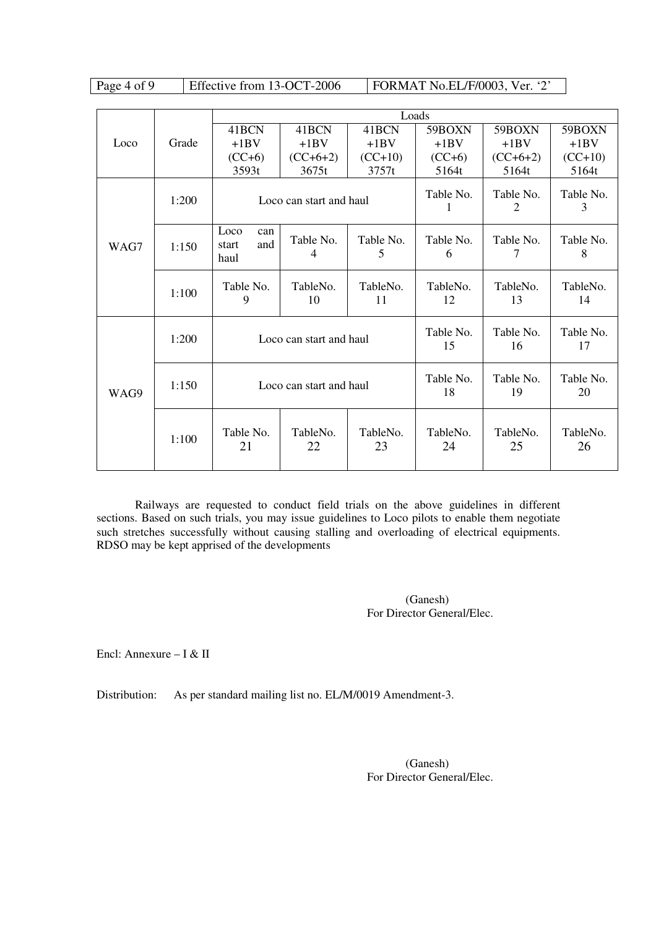Page 4 of 9 Effective from 13-OCT-2006 FORMAT No.EL/F/0003, Ver. '2'

|      |       | Loads                               |                         |                |                 |                 |                 |  |
|------|-------|-------------------------------------|-------------------------|----------------|-----------------|-----------------|-----------------|--|
|      |       | 41BCN                               | 41BCN                   | 41BCN          | 59BOXN          | 59BOXN          | 59BOXN          |  |
| Loco | Grade | $+1BV$                              | $+1BV$                  | $+1BV$         | $+1BV$          | $+1BV$          | $+1BV$          |  |
|      |       | $(CC+6)$                            | $(CC+6+2)$              | $(CC+10)$      | $(CC+6)$        | $(CC+6+2)$      | $(CC+10)$       |  |
|      |       | 3593t                               | 3675t                   | 3757t          | 5164t           | 5164t           | 5164t           |  |
|      | 1:200 | Loco can start and haul             |                         |                | Table No.<br>1  | Table No.<br>2  | Table No.<br>3  |  |
| WAG7 | 1:150 | Loco<br>can<br>and<br>start<br>haul | Table No.<br>4          | Table No.<br>5 | Table No.<br>6  | Table No.<br>7  | Table No.<br>8  |  |
|      | 1:100 | Table No.<br>9                      | TableNo.<br>10          | TableNo.<br>11 | TableNo.<br>12  | TableNo.<br>13  | TableNo.<br>14  |  |
| WAG9 | 1:200 |                                     | Loco can start and haul |                | Table No.<br>15 | Table No.<br>16 | Table No.<br>17 |  |
|      | 1:150 |                                     | Loco can start and haul |                | Table No.<br>18 | Table No.<br>19 | Table No.<br>20 |  |
|      | 1:100 | Table No.<br>21                     | TableNo.<br>22          | TableNo.<br>23 | TableNo.<br>24  | TableNo.<br>25  | TableNo.<br>26  |  |

 Railways are requested to conduct field trials on the above guidelines in different sections. Based on such trials, you may issue guidelines to Loco pilots to enable them negotiate such stretches successfully without causing stalling and overloading of electrical equipments. RDSO may be kept apprised of the developments

> (Ganesh) For Director General/Elec.

Encl: Annexure – I & II

Distribution: As per standard mailing list no. EL/M/0019 Amendment-3.

(Ganesh) For Director General/Elec.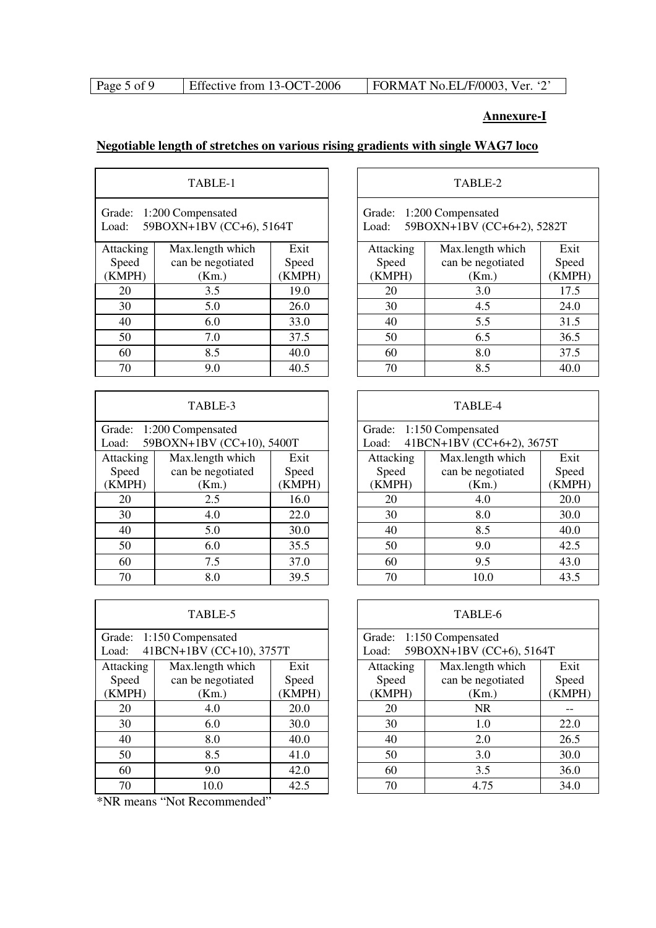| Page 5 of 9<br>Effective from 13-OCT-2006 | FORMAT No.EL/F/0003, Ver. '2' |  |
|-------------------------------------------|-------------------------------|--|
|-------------------------------------------|-------------------------------|--|

# **Annexure-I**

٦

 $\overline{\phantom{a}}$ 

## **Negotiable length of stretches on various rising gradients with single WAG7 loco**

| TABLE-1                                                          |                   |        |  |  |  |  |  |
|------------------------------------------------------------------|-------------------|--------|--|--|--|--|--|
| Grade:<br>1:200 Compensated<br>59BOXN+1BV (CC+6), 5164T<br>Load: |                   |        |  |  |  |  |  |
| Attacking                                                        | Max.length which  | Exit   |  |  |  |  |  |
| Speed                                                            | can be negotiated | Speed  |  |  |  |  |  |
| (KMPH)                                                           | (Km.)             | (KMPH) |  |  |  |  |  |
| 20                                                               | 3.5               | 19.0   |  |  |  |  |  |
| 30                                                               | 5.0               | 26.0   |  |  |  |  |  |
| 40                                                               | 6.0               | 33.0   |  |  |  |  |  |
| 50                                                               | 7.0               | 37.5   |  |  |  |  |  |
| 60                                                               | 8.5               | 40.0   |  |  |  |  |  |
| 70                                                               | 9.0               | 40.5   |  |  |  |  |  |

|           | TABLE-3                   |        | TABLE-4                     |                 |  |
|-----------|---------------------------|--------|-----------------------------|-----------------|--|
|           | Grade: 1:200 Compensated  |        | 1:150 Compensated<br>Grade: |                 |  |
| Load:     | 59BOXN+1BV (CC+10), 5400T |        | Load:                       | 41BCN+1BV (CC+6 |  |
| Attacking | Max.length which          | Exit   | Attacking                   | Max.length w    |  |
| Speed     | can be negotiated         | Speed  | Speed                       | can be negoti   |  |
| (KMPH)    | (Km.)                     | (KMPH) | (KMPH)                      | (Km.)           |  |
| 20        | 2.5                       | 16.0   | 20                          | 4.0             |  |
| 30        | 4.0                       | 22.0   | 30                          | 8.0             |  |
| 40        | 5.0                       | 30.0   | 40                          | 8.5             |  |
| 50        | 6.0                       | 35.5   | 50                          | 9.0             |  |
| 60        | 7.5                       | 37.0   | 60                          | 9.5             |  |
| 70        | 8.0                       | 39.5   | 70                          | 10.0            |  |

|           | TABLE-5                  |        | TABLE-6                  |                 |  |
|-----------|--------------------------|--------|--------------------------|-----------------|--|
|           | Grade: 1:150 Compensated |        | Grade: 1:150 Compensated |                 |  |
| Load:     | 41BCN+1BV (CC+10), 3757T |        | Load:                    | 59BOXN+1BV (CC- |  |
| Attacking | Max.length which         | Exit   | Attacking                | Max.length w    |  |
| Speed     | can be negotiated        | Speed  | Speed                    | can be negoti   |  |
| (KMPH)    | (Km.)                    | (KMPH) | (KMPH)                   | (Km.)           |  |
| 20        | 4.0                      | 20.0   | 20                       | NR.             |  |
| 30        | 6.0                      | 30.0   | 30                       | 1.0             |  |
| 40        | 8.0                      | 40.0   | 40                       | 2.0             |  |
| 50        | 8.5                      | 41.0   | 50                       | 3.0             |  |
| 60        | 9.0                      | 42.0   | 60                       | 3.5             |  |
| 70        | 10.0                     | 42.5   | 70                       | 4.75            |  |
| $\cdots$  | 1.1<br>(0.7)             |        |                          |                 |  |

\*NR means "Not Recommended"

| TABLE-1                                                    |                   |        |  |           | TABLE-2                                                |        |
|------------------------------------------------------------|-------------------|--------|--|-----------|--------------------------------------------------------|--------|
| de:<br>1:200 Compensated<br>59BOXN+1BV (CC+6), 5164T<br>d: |                   |        |  | Load:     | Grade: 1:200 Compensated<br>59BOXN+1BV (CC+6+2), 5282T |        |
| acking                                                     | Max.length which  | Exit   |  | Attacking | Max.length which                                       | Exit   |
| oeed                                                       | can be negotiated | Speed  |  | Speed     | can be negotiated                                      | Speed  |
| MPH)                                                       | (Km.)             | (KMPH) |  | (KMPH)    | (Km.)                                                  | (KMPH) |
| 20                                                         | 3.5               | 19.0   |  | 20        | 3.0                                                    | 17.5   |
| 30                                                         | 5.0               | 26.0   |  | 30        | 4.5                                                    | 24.0   |
| 40                                                         | 6.0               | 33.0   |  | 40        | 5.5                                                    | 31.5   |
| $\overline{50}$                                            | 7.0               | 37.5   |  | 50        | 6.5                                                    | 36.5   |
| 60                                                         | 8.5               | 40.0   |  | 60        | 8.0                                                    | 37.5   |
| 70                                                         | 9.0               | 40.5   |  | 70        | 8.5                                                    | 40.0   |

| TABLE-4 |  |  |
|---------|--|--|
|         |  |  |

| de: 1:200 Compensated |                           |        |                                    | Grade: 1:150 Compensated |        |
|-----------------------|---------------------------|--------|------------------------------------|--------------------------|--------|
| d:                    | 59BOXN+1BV (CC+10), 5400T |        | 41BCN+1BV (CC+6+2), 3675T<br>Load: |                          |        |
| acking                | Max.length which          | Exit   | Attacking                          | Max.length which         | Exit   |
| oeed                  | can be negotiated         | Speed  | Speed                              | can be negotiated        | Speed  |
| MPH)                  | (Km.)                     | (KMPH) | (KMPH)                             | (Km.)                    | (KMPH) |
| 20                    | 2.5                       | 16.0   | 20                                 | 4.0                      | 20.0   |
| 30                    | 4.0                       | 22.0   | 30                                 | 8.0                      | 30.0   |
| 40                    | 5.0                       | 30.0   | 40                                 | 8.5                      | 40.0   |
| $\overline{50}$       | 6.0                       | 35.5   | 50                                 | 9.0                      | 42.5   |
| 60                    | 7.5                       | 37.0   | 60                                 | 9.5                      | 43.0   |
| 70                    | 8.0                       | 39.5   | 70                                 | 10.0                     | 43.5   |

| TABLE-5                                                 |                   |        |                               |        | TABLE-6                                              |        |
|---------------------------------------------------------|-------------------|--------|-------------------------------|--------|------------------------------------------------------|--------|
| de: 1:150 Compensated<br>41BCN+1BV (CC+10), 3757T<br>d: |                   |        |                               | Load:  | Grade: 1:150 Compensated<br>59BOXN+1BV (CC+6), 5164T |        |
| acking                                                  | Max.length which  | Exit   | Max.length which<br>Attacking |        |                                                      | Exit   |
| oeed                                                    | can be negotiated | Speed  |                               | Speed  | can be negotiated                                    | Speed  |
| MPH)                                                    | (Km.)             | (KMPH) |                               | (KMPH) | (Km.)                                                | (KMPH) |
| 20                                                      | 4.0               | 20.0   |                               | 20     | <b>NR</b>                                            |        |
| 30                                                      | 6.0               | 30.0   |                               | 30     | 1.0                                                  | 22.0   |
| 40                                                      | 8.0               | 40.0   |                               | 40     | 2.0                                                  | 26.5   |
| $\overline{50}$                                         | 8.5               | 41.0   |                               | 50     | 3.0                                                  | 30.0   |
| 60                                                      | 9.0               | 42.0   |                               | 60     | 3.5                                                  | 36.0   |
| 70                                                      | 10.0              | 42.5   |                               | 70     | 4.75                                                 | 34.0   |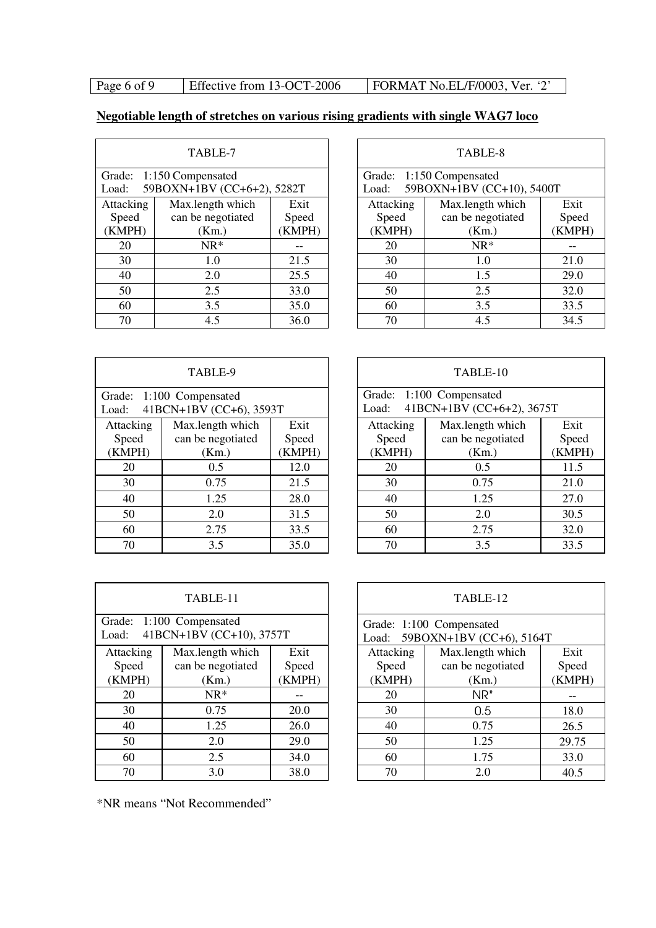Page 6 of 9 Effective from 13-OCT-2006 FORMAT No.EL/F/0003, Ver. '2'

## **Negotiable length of stretches on various rising gradients with single WAG7 loco**

| TABLE-7           |                            |        |  |  |  |  |
|-------------------|----------------------------|--------|--|--|--|--|
|                   | Grade: 1:150 Compensated   |        |  |  |  |  |
| Load:             | 59BOXN+1BV (CC+6+2), 5282T |        |  |  |  |  |
| Attacking         | Max.length which           | Exit   |  |  |  |  |
| Speed             | can be negotiated          | Speed  |  |  |  |  |
| (KMPH)            | (Km.)                      | (KMPH) |  |  |  |  |
| 20                | $NR*$                      |        |  |  |  |  |
| 30                | 1.0                        | 21.5   |  |  |  |  |
| 40                | 2.0                        | 25.5   |  |  |  |  |
| 50                | 2.5                        | 33.0   |  |  |  |  |
| 60                | 3.5                        | 35.0   |  |  |  |  |
| 4.5<br>36.0<br>70 |                            |        |  |  |  |  |

| TABLE-7                                                   |                   |        | TABLE-8   |                                                       |        |  |
|-----------------------------------------------------------|-------------------|--------|-----------|-------------------------------------------------------|--------|--|
| de: 1:150 Compensated<br>59BOXN+1BV (CC+6+2), 5282T<br>d: |                   |        | Load:     | Grade: 1:150 Compensated<br>59BOXN+1BV (CC+10), 5400T |        |  |
| acking                                                    | Max.length which  | Exit   | Attacking | Max.length which                                      | Exit   |  |
| oeed                                                      | can be negotiated | Speed  | Speed     | can be negotiated                                     | Speed  |  |
| MPH)                                                      | (Km.)             | (KMPH) | (KMPH)    | (Km.)                                                 | (KMPH) |  |
| 20                                                        | $NR^*$            |        | 20        | $NR^*$                                                |        |  |
| 30                                                        | 1.0               | 21.5   | 30        | 1.0                                                   | 21.0   |  |
| 40                                                        | 2.0               | 25.5   | 40        | 1.5                                                   | 29.0   |  |
| $\overline{50}$                                           | 2.5               | 33.0   | 50        | 2.5                                                   | 32.0   |  |
| $\overline{60}$                                           | 3.5               | 35.0   | 60        | 3.5                                                   | 33.5   |  |
| 70                                                        | 4.5               | 36.0   | 70        | 4.5                                                   | 34.5   |  |

| TABLE-9                                                      |                   |        |  |           | TABLE-10                                              |       |
|--------------------------------------------------------------|-------------------|--------|--|-----------|-------------------------------------------------------|-------|
| Grade: 1:100 Compensated<br>41BCN+1BV (CC+6), 3593T<br>Load: |                   |        |  | Load:     | Grade: 1:100 Compensated<br>41BCN+1BV (CC+6+2), 3675T |       |
| Attacking                                                    | Max.length which  | Exit   |  | Attacking | Max.length which                                      | Exit  |
| Speed                                                        | can be negotiated | Speed  |  | Speed     | can be negotiated                                     | Speed |
| (KMPH)                                                       | (Km.)             | (KMPH) |  | (KMPH)    | (Km.)                                                 | (KMPF |
| 20                                                           | 0.5               | 12.0   |  | 20        | 0.5                                                   | 11.5  |
| 30                                                           | 0.75              | 21.5   |  | 30        | 0.75                                                  | 21.0  |
| 40                                                           | 1.25              | 28.0   |  | 40        | 1.25                                                  | 27.0  |
| 50                                                           | 2.0               | 31.5   |  | 50        | 2.0                                                   | 30.5  |
| 60                                                           | 2.75              | 33.5   |  | 60        | 2.75                                                  | 32.0  |
| 70                                                           | 3.5               | 35.0   |  | 70        | 3.5                                                   | 33.5  |
|                                                              |                   |        |  |           |                                                       |       |

| TABLE-9                                               |                   |        |                               | TABLE-10 |                                                             |        |  |
|-------------------------------------------------------|-------------------|--------|-------------------------------|----------|-------------------------------------------------------------|--------|--|
| le: 1:100 Compensated<br>1: $41BCN+1BV (CC+6), 3593T$ |                   |        |                               |          | Grade: 1:100 Compensated<br>Load: 41BCN+1BV (CC+6+2), 3675T |        |  |
| acking                                                | Max.length which  | Exit   | Attacking<br>Max.length which |          | Exit                                                        |        |  |
| oeed                                                  | can be negotiated | Speed  |                               | Speed    | can be negotiated                                           | Speed  |  |
| MPH)                                                  | (Km.)             | (KMPH) |                               | (KMPH)   | (Km.)                                                       | (KMPH) |  |
| 20                                                    | 0.5               | 12.0   |                               | 20       | 0.5                                                         | 11.5   |  |
| 30                                                    | 0.75              | 21.5   |                               | 30       | 0.75                                                        | 21.0   |  |
| $\overline{40}$                                       | 1.25              | 28.0   |                               | 40       | 1.25                                                        | 27.0   |  |
| 50                                                    | 2.0               | 31.5   |                               | 50       | 2.0                                                         | 30.5   |  |
| 60                                                    | 2.75              | 33.5   |                               | 60       | 2.75                                                        | 32.0   |  |
| 70                                                    | 35                | 350    |                               | 70       | 35                                                          | 33.5   |  |

| TABLE-11                                                      |                   |        |  |  |  |  |  |
|---------------------------------------------------------------|-------------------|--------|--|--|--|--|--|
| Grade: 1:100 Compensated<br>41BCN+1BV (CC+10), 3757T<br>Load: |                   |        |  |  |  |  |  |
| Attacking                                                     | Max.length which  | Exit   |  |  |  |  |  |
| Speed                                                         | can be negotiated | Speed  |  |  |  |  |  |
| (KMPH)                                                        | (Km.)             | (KMPH) |  |  |  |  |  |
| 20                                                            | $NR*$             |        |  |  |  |  |  |
| 30                                                            | 0.75              | 20.0   |  |  |  |  |  |
| 40                                                            | 1.25              | 26.0   |  |  |  |  |  |
| 50                                                            | 2.0               | 29.0   |  |  |  |  |  |
| 60                                                            | 2.5               | 34.0   |  |  |  |  |  |
| 70                                                            | 3.0               | 38.0   |  |  |  |  |  |

|                                                         | TABLE-11          |        |                                                               | TABLE-12          |        |  |
|---------------------------------------------------------|-------------------|--------|---------------------------------------------------------------|-------------------|--------|--|
| le: 1:100 Compensated<br>41BCN+1BV (CC+10), 3757T<br>ŀ. |                   |        | Grade: 1:100 Compensated<br>59BOXN+1BV (CC+6), 5164T<br>Load: |                   |        |  |
| acking                                                  | Max.length which  | Exit   | Attacking                                                     | Max.length which  | Exit   |  |
| oeed                                                    | can be negotiated | Speed  | Speed                                                         | can be negotiated | Speed  |  |
| MPH)                                                    | (Km.)             | (KMPH) | (KMPH)                                                        | (Km.)             | (KMPH) |  |
| 20                                                      | $NR*$             |        | 20                                                            | $NR^*$            |        |  |
| 30                                                      | 0.75              | 20.0   | 30                                                            | 0.5               | 18.0   |  |
| 40                                                      | 1.25              | 26.0   | 40                                                            | 0.75              | 26.5   |  |
| 50                                                      | 2.0               | 29.0   | 50                                                            | 1.25              | 29.75  |  |
| 60                                                      | 2.5               | 34.0   | 60                                                            | 1.75              | 33.0   |  |
| 70                                                      | 3.0               | 38.0   | 70                                                            | 2.0               | 40.5   |  |

\*NR means "Not Recommended"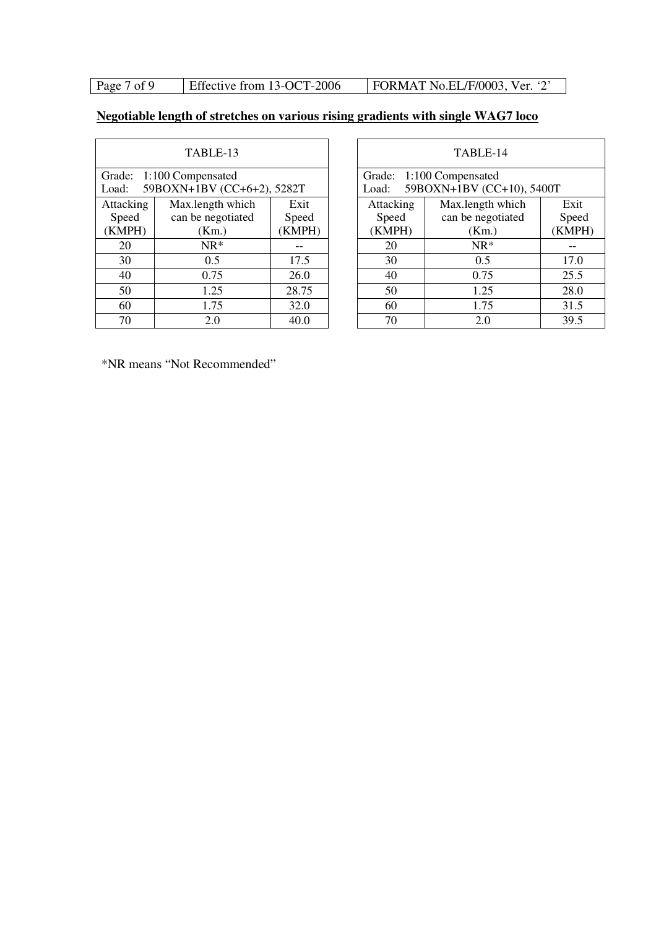## Page 7 of 9 Effective from 13-OCT-2006 FORMAT No.EL/F/0003, Ver. '2'

## **Negotiable length of stretches on various rising gradients with single WAG7 loco**

| TABLE-13  |                            |        |  |  |  |  |
|-----------|----------------------------|--------|--|--|--|--|
|           | Grade: 1:100 Compensated   |        |  |  |  |  |
| Load:     | 59BOXN+1BV (CC+6+2), 5282T |        |  |  |  |  |
| Attacking | Max.length which           | Exit   |  |  |  |  |
| Speed     | can be negotiated          | Speed  |  |  |  |  |
| (KMPH)    | (Km.)                      | (KMPH) |  |  |  |  |
| 20        | $NR*$                      |        |  |  |  |  |
| 30        | 0.5                        | 17.5   |  |  |  |  |
| 40        | 0.75                       | 26.0   |  |  |  |  |
| 50        | 1.25                       | 28.75  |  |  |  |  |
| 60        | 1.75                       | 32.0   |  |  |  |  |
| 70        | 2.0                        | 40.0   |  |  |  |  |

|                                                           | TABLE-13          |        | TABLE-14 |           |                                                       |        |
|-----------------------------------------------------------|-------------------|--------|----------|-----------|-------------------------------------------------------|--------|
| de: 1:100 Compensated<br>59BOXN+1BV (CC+6+2), 5282T<br>d: |                   |        |          | Load:     | Grade: 1:100 Compensated<br>59BOXN+1BV (CC+10), 5400T |        |
| acking                                                    | Max.length which  | Exit   |          | Attacking | Max.length which                                      | Exit   |
| oeed                                                      | can be negotiated | Speed  |          | Speed     | can be negotiated                                     | Speed  |
| MPH)                                                      | (Km.)             | (KMPH) |          | (KMPH)    | (Km.)                                                 | (KMPH) |
| 20                                                        | $NR^*$            |        |          | 20        | $NR*$                                                 |        |
| 30                                                        | 0.5               | 17.5   |          | 30        | 0.5                                                   | 17.0   |
| 40                                                        | 0.75              | 26.0   |          | 40        | 0.75                                                  | 25.5   |
| 50                                                        | 1.25              | 28.75  |          | 50        | 1.25                                                  | 28.0   |
| 60                                                        | 1.75              | 32.0   |          | 60        | 1.75                                                  | 31.5   |
| 70                                                        | 2.0               | 40.0   |          | 70        | 2.0                                                   | 39.5   |

\*NR means "Not Recommended"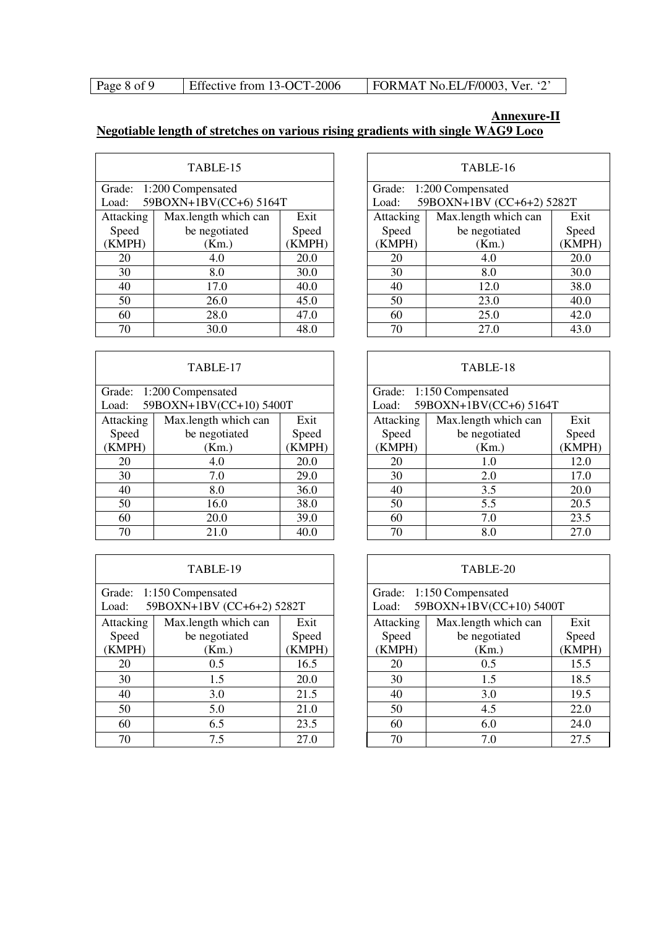| Page 8 of 9 | Effective from 13-OCT-2006 | FORMAT No.EL/F/0003, Ver. '2' |
|-------------|----------------------------|-------------------------------|
|             |                            |                               |

### **Annexure-II Negotiable length of stretches on various rising gradients with single WAG9 Loco**

| TABLE-15  |                        |        |  |  |  |  |
|-----------|------------------------|--------|--|--|--|--|
| Grade:    | 1:200 Compensated      |        |  |  |  |  |
| Load:     | 59BOXN+1BV(CC+6) 5164T |        |  |  |  |  |
| Attacking | Max.length which can   |        |  |  |  |  |
| Speed     | be negotiated          | Speed  |  |  |  |  |
| (KMPH)    | (Km.)                  | (KMPH) |  |  |  |  |
| 20        | 4.0                    | 20.0   |  |  |  |  |
| 30        | 8.0                    | 30.0   |  |  |  |  |
| 40        | 17.0                   | 40.0   |  |  |  |  |
| 50        | 26.0                   | 45.0   |  |  |  |  |
| 60        | 47.0                   |        |  |  |  |  |
| 70        | 48.0                   |        |  |  |  |  |

| TABLE-17  |                          |      |  |  |  |  |
|-----------|--------------------------|------|--|--|--|--|
|           | Grade: 1:200 Compensated |      |  |  |  |  |
| Load:     | 59BOXN+1BV(CC+10) 5400T  |      |  |  |  |  |
| Attacking | Max.length which can     | Exit |  |  |  |  |
| Speed     | be negotiated            |      |  |  |  |  |
| (KMPH)    | (KMPH)                   |      |  |  |  |  |
| 20        | 4.0                      | 20.0 |  |  |  |  |
| 30        | 7.0                      | 29.0 |  |  |  |  |
| 40        | 8.0                      | 36.0 |  |  |  |  |
| 50        | 38.0                     |      |  |  |  |  |
| 60        | 39.0                     |      |  |  |  |  |
| 70        | 21.0                     | 40.0 |  |  |  |  |

| TABLE-19                                                       |                      |        |  |  |  |  |  |
|----------------------------------------------------------------|----------------------|--------|--|--|--|--|--|
| Grade: 1:150 Compensated<br>59BOXN+1BV (CC+6+2) 5282T<br>Load: |                      |        |  |  |  |  |  |
| Attacking                                                      | Max.length which can | Exit   |  |  |  |  |  |
| Speed                                                          | be negotiated        |        |  |  |  |  |  |
| (KMPH)                                                         | (Km.)                | (KMPH) |  |  |  |  |  |
| 20                                                             | 0.5                  | 16.5   |  |  |  |  |  |
| 30                                                             | 1.5                  | 20.0   |  |  |  |  |  |
| 40                                                             | 3.0                  | 21.5   |  |  |  |  |  |
| 50                                                             | 21.0                 |        |  |  |  |  |  |
| 6.5<br>23.5<br>60                                              |                      |        |  |  |  |  |  |
| 70                                                             | 7.5                  | 27.0   |  |  |  |  |  |

| TABLE-15                        |                      |       |           | TABLE-16                  |        |  |
|---------------------------------|----------------------|-------|-----------|---------------------------|--------|--|
| de: 1:200 Compensated           |                      |       |           | Grade: 1:200 Compensated  |        |  |
| 59BOXN+1BV(CC+6) 5164T<br>$d$ : |                      |       | Load:     | 59BOXN+1BV (CC+6+2) 5282T |        |  |
| acking                          | Max.length which can | Exit  | Attacking | Max.length which can      | Exit   |  |
| oeed                            | be negotiated        | Speed | Speed     | be negotiated             | Speed  |  |
| MPH)                            | (Km.)                | KMPH) | (KMPH)    | (Km.)                     | (KMPH) |  |
| 20                              | 4.0                  | 20.0  | 20        | 4.0                       | 20.0   |  |
| 30                              | 8.0                  | 30.0  | 30        | 8.0                       | 30.0   |  |
| 40                              | 17.0                 | 40.0  | 40        | 12.0                      | 38.0   |  |
| 50                              | 26.0                 | 45.0  | 50        | 23.0                      | 40.0   |  |
| 60                              | 28.0                 | 47.0  | 60        | 25.0                      | 42.0   |  |
| 70                              | 30.0                 | 48.0  | 70        | 27.0                      | 43.0   |  |

| TABLE-17                                               |                      |        |           | TABLE-18                                           |        |
|--------------------------------------------------------|----------------------|--------|-----------|----------------------------------------------------|--------|
| de: 1:200 Compensated<br>59BOXN+1BV(CC+10) 5400T<br>d: |                      |        | Load:     | Grade: 1:150 Compensated<br>59BOXN+1BV(CC+6) 5164T |        |
| acking                                                 | Max.length which can | Exit   | Attacking | Max.length which can                               | Exit   |
| oeed                                                   | be negotiated        | Speed  | Speed     | be negotiated                                      | Speed  |
| MPH)                                                   | (Km.)                | (KMPH) | (KMPH)    | (Km.)                                              | (KMPH) |
| 20                                                     | 4.0                  | 20.0   | 20        | 1.0                                                | 12.0   |
| 30                                                     | 7.0                  | 29.0   | 30        | 2.0                                                | 17.0   |
| 40                                                     | 8.0                  | 36.0   | 40        | 3.5                                                | 20.0   |
| 50                                                     | 16.0                 | 38.0   | 50        | 5.5                                                | 20.5   |
| 60                                                     | 20.0                 | 39.0   | 60        | 7.0                                                | 23.5   |
| 70                                                     | 21.0                 | 40.0   | 70        | 8.0                                                | 27.0   |

| TABLE-19                                                 |                      |        |           | TABLE-20                                            |        |
|----------------------------------------------------------|----------------------|--------|-----------|-----------------------------------------------------|--------|
| de: 1:150 Compensated<br>59BOXN+1BV (CC+6+2) 5282T<br>d: |                      |        | Load:     | Grade: 1:150 Compensated<br>59BOXN+1BV(CC+10) 5400T |        |
| acking                                                   | Max.length which can | Exit   | Attacking | Max.length which can                                | Exit   |
| oeed                                                     | be negotiated        | Speed  | Speed     | be negotiated                                       | Speed  |
| MPH)                                                     | (Km.)                | (KMPH) | (KMPH)    | (Km.)                                               | (KMPH) |
| 20                                                       | 0.5                  | 16.5   | 20        | 0.5                                                 | 15.5   |
| 30                                                       | 1.5                  | 20.0   | 30        | 1.5                                                 | 18.5   |
| 40                                                       | 3.0                  | 21.5   | 40        | 3.0                                                 | 19.5   |
| 50                                                       | 5.0                  | 21.0   | 50        | 4.5                                                 | 22.0   |
| 60                                                       | 6.5                  | 23.5   | 60        | 6.0                                                 | 24.0   |
| 70                                                       | 7.5                  | 27.0   | 70        | 7.0                                                 | 27.5   |